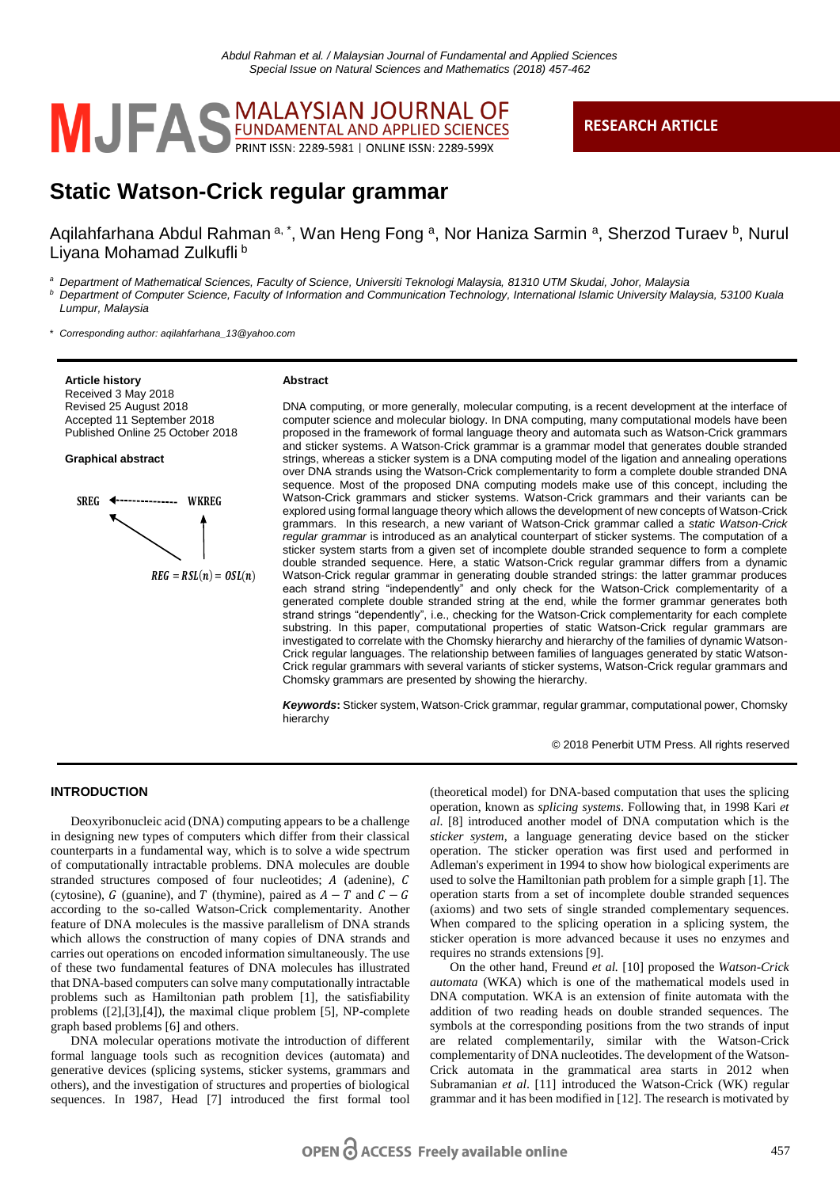

## **RESEARCH ARTICLE**

# **Static Watson-Crick regular grammar**

Aqilahfarhana Abdul Rahman a, \*, Wan Heng Fong a, Nor Haniza Sarmin a, Sherzod Turaev b, Nurul Liyana Mohamad Zulkufli b

*<sup>a</sup> Department of Mathematical Sciences, Faculty of Science, Universiti Teknologi Malaysia, 81310 UTM Skudai, Johor, Malaysia <sup>b</sup> Department of Computer Science, Faculty of Information and Communication Technology, International Islamic University Malaysia, 53100 Kuala Lumpur, Malaysia*

\* *Corresponding author: aqilahfarhana\_13@yahoo.com*

**Article history** Received 3 May 2018 Revised 25 August 2018 Accepted 11 September 2018 Published Online 25 October 2018

**Graphical abstract**



#### **Abstract**

DNA computing, or more generally, molecular computing, is a recent development at the interface of computer science and molecular biology. In DNA computing, many computational models have been proposed in the framework of formal language theory and automata such as Watson-Crick grammars and sticker systems. A Watson-Crick grammar is a grammar model that generates double stranded strings, whereas a sticker system is a DNA computing model of the ligation and annealing operations over DNA strands using the Watson-Crick complementarity to form a complete double stranded DNA sequence. Most of the proposed DNA computing models make use of this concept, including the Watson-Crick grammars and sticker systems. Watson-Crick grammars and their variants can be explored using formal language theory which allows the development of new concepts of Watson-Crick grammars. In this research, a new variant of Watson-Crick grammar called a *static Watson-Crick regular grammar* is introduced as an analytical counterpart of sticker systems. The computation of a sticker system starts from a given set of incomplete double stranded sequence to form a complete double stranded sequence. Here, a static Watson-Crick regular grammar differs from a dynamic Watson-Crick regular grammar in generating double stranded strings: the latter grammar produces each strand string "independently" and only check for the Watson-Crick complementarity of a generated complete double stranded string at the end, while the former grammar generates both strand strings "dependently", i.e., checking for the Watson-Crick complementarity for each complete substring. In this paper, computational properties of static Watson-Crick regular grammars are investigated to correlate with the Chomsky hierarchy and hierarchy of the families of dynamic Watson-Crick regular languages. The relationship between families of languages generated by static Watson-Crick regular grammars with several variants of sticker systems, Watson-Crick regular grammars and Chomsky grammars are presented by showing the hierarchy. We consider the matrix of the matrix of the matrix of the matrix of the matrix of the matrix of the matrix of the matrix of the matrix of the matrix of the matrix of the matrix of the matrix of the matrix of the matrix of

*Keywords***:** Sticker system, Watson-Crick grammar, regular grammar, computational power, Chomsky hierarchy

© 2018 Penerbit UTM Press. All rights reserved

## **INTRODUCTION**

Deoxyribonucleic acid (DNA) computing appears to be a challenge in designing new types of computers which differ from their classical counterparts in a fundamental way, which is to solve a wide spectrum of computationally intractable problems. DNA molecules are double stranded structures composed of four nucleotides;  $A$  (adenine),  $C$ (cytosine),  $G$  (guanine), and  $T$  (thymine), paired as  $A - T$  and  $C - G$ according to the so-called Watson-Crick complementarity. Another feature of DNA molecules is the massive parallelism of DNA strands which allows the construction of many copies of DNA strands and carries out operations on encoded information simultaneously. The use of these two fundamental features of DNA molecules has illustrated that DNA-based computers can solve many computationally intractable problems such as Hamiltonian path problem [1], the satisfiability problems ([2],[3],[4]), the maximal clique problem [5], NP-complete graph based problems [6] and others.

DNA molecular operations motivate the introduction of different formal language tools such as recognition devices (automata) and generative devices (splicing systems, sticker systems, grammars and others), and the investigation of structures and properties of biological sequences. In 1987, Head [7] introduced the first formal tool

(theoretical model) for DNA-based computation that uses the splicing operation, known as *splicing systems*. Following that, in 1998 Kari *et al*. [8] introduced another model of DNA computation which is the *sticker system*, a language generating device based on the sticker operation. The sticker operation was first used and performed in Adleman's experiment in 1994 to show how biological experiments are used to solve the Hamiltonian path problem for a simple graph [1]. The operation starts from a set of incomplete double stranded sequences (axioms) and two sets of single stranded complementary sequences. When compared to the splicing operation in a splicing system, the sticker operation is more advanced because it uses no enzymes and requires no strands extensions [9].

On the other hand, Freund *et al.* [10] proposed the *Watson-Crick automata* (WKA) which is one of the mathematical models used in DNA computation. WKA is an extension of finite automata with the addition of two reading heads on double stranded sequences. The symbols at the corresponding positions from the two strands of input are related complementarily, similar with the Watson-Crick complementarity of DNA nucleotides. The development of the Watson-Crick automata in the grammatical area starts in 2012 when Subramanian *et al*. [11] introduced the Watson-Crick (WK) regular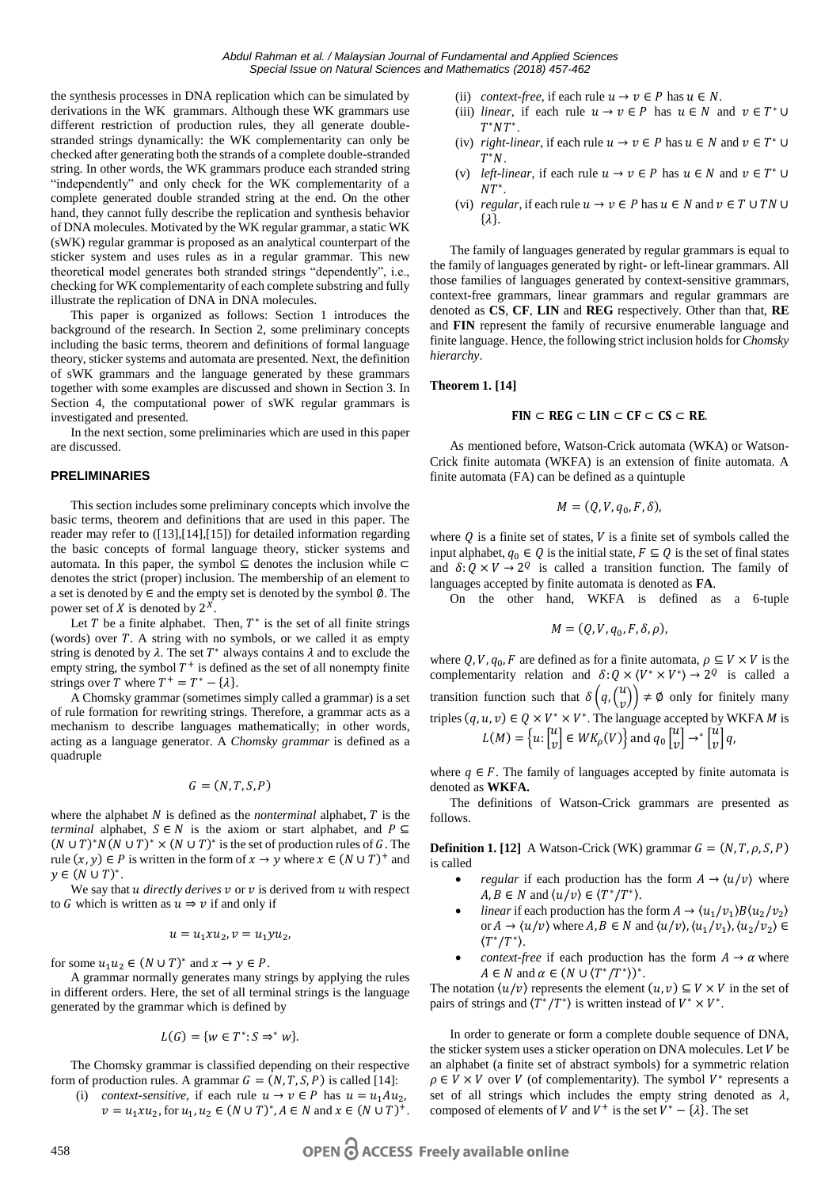the synthesis processes in DNA replication which can be simulated by derivations in the WK grammars. Although these WK grammars use different restriction of production rules, they all generate doublestranded strings dynamically: the WK complementarity can only be checked after generating both the strands of a complete double-stranded string. In other words, the WK grammars produce each stranded string "independently" and only check for the WK complementarity of a complete generated double stranded string at the end. On the other hand, they cannot fully describe the replication and synthesis behavior of DNA molecules. Motivated by the WK regular grammar, a static WK (sWK) regular grammar is proposed as an analytical counterpart of the sticker system and uses rules as in a regular grammar. This new theoretical model generates both stranded strings "dependently", i.e., checking for WK complementarity of each complete substring and fully illustrate the replication of DNA in DNA molecules.

This paper is organized as follows: Section 1 introduces the background of the research. In Section 2, some preliminary concepts including the basic terms, theorem and definitions of formal language theory, sticker systems and automata are presented. Next, the definition of sWK grammars and the language generated by these grammars together with some examples are discussed and shown in Section 3. In Section 4, the computational power of sWK regular grammars is investigated and presented.

In the next section, some preliminaries which are used in this paper are discussed.

## **PRELIMINARIES**

This section includes some preliminary concepts which involve the basic terms, theorem and definitions that are used in this paper. The reader may refer to ([13],[14],[15]) for detailed information regarding the basic concepts of formal language theory, sticker systems and automata. In this paper, the symbol  $\subseteq$  denotes the inclusion while  $\subset$ denotes the strict (proper) inclusion. The membership of an element to a set is denoted by ∈ and the empty set is denoted by the symbol ∅. The power set of  $X$  is denoted by  $2^X$ .

Let  $T$  be a finite alphabet. Then,  $T^*$  is the set of all finite strings (words) over  $T$ . A string with no symbols, or we called it as empty string is denoted by  $\lambda$ . The set  $T^*$  always contains  $\lambda$  and to exclude the empty string, the symbol  $T^+$  is defined as the set of all nonempty finite strings over T where  $T^+ = T^* - {\lambda}.$ 

A Chomsky grammar (sometimes simply called a grammar) is a set of rule formation for rewriting strings. Therefore, a grammar acts as a mechanism to describe languages mathematically; in other words, acting as a language generator. A *Chomsky grammar* is defined as a quadruple

$$
G=(N,T,S,P)
$$

where the alphabet  $N$  is defined as the *nonterminal* alphabet,  $T$  is the *terminal* alphabet,  $S \in N$  is the axiom or start alphabet, and  $P \subseteq$  $(N \cup T)^* N(N \cup T)^* \times (N \cup T)^*$  is the set of production rules of G. The rule  $(x, y) \in P$  is written in the form of  $x \to y$  where  $x \in (N \cup T)^+$  and  $y \in (N \cup T)^*$ .

We say that  $u$  *directly derives*  $v$  or  $v$  is derived from  $u$  with respect to G which is written as  $u \Rightarrow v$  if and only if

$$
u = u_1 x u_2, v = u_1 y u_2,
$$

for some  $u_1 u_2 \in (N \cup T)^*$  and  $x \to y \in P$ .

A grammar normally generates many strings by applying the rules in different orders. Here, the set of all terminal strings is the language generated by the grammar which is defined by

$$
L(G) = \{ w \in T^* : S \Rightarrow^* w \}.
$$

The Chomsky grammar is classified depending on their respective form of production rules. A grammar  $G = (N, T, S, P)$  is called [14]:

(i) *context-sensitive*, if each rule  $u \rightarrow v \in P$  has  $u = u_1 A u_2$ ,  $v = u_1 x u_2$ , for  $u_1, u_2 \in (N \cup T)^*$ ,  $A \in N$  and  $x \in (N \cup T)^+$ .

- (iii) *linear*, if each rule  $u \to v \in P$  has  $u \in N$  and  $v \in T^* \cup$  $T^*NT^*$
- (iv) *right-linear*, if each rule  $u \to v \in P$  has  $u \in N$  and  $v \in T^* \cup$  $T^*N$ .
- (v) *left-linear*, if each rule  $u \to v \in P$  has  $u \in N$  and  $v \in T^* \cup$  $NT^*$ .
- (vi) *regular*, if each rule  $u \to v \in P$  has  $u \in N$  and  $v \in T \cup TN \cup$  $\{\lambda\}.$

The family of languages generated by regular grammars is equal to the family of languages generated by right- or left-linear grammars. All those families of languages generated by context-sensitive grammars, context-free grammars, linear grammars and regular grammars are denoted as **CS**, **CF**, **LIN** and **REG** respectively. Other than that, **RE** and **FIN** represent the family of recursive enumerable language and finite language. Hence, the following strict inclusion holds for *Chomsky hierarchy*.

#### **Theorem 1. [14]**

#### $FIN \subset REG \subset LIN \subset CF \subset CS \subset RE$

As mentioned before, Watson-Crick automata (WKA) or Watson-Crick finite automata (WKFA) is an extension of finite automata. A finite automata (FA) can be defined as a quintuple

$$
M=(Q,V,q_0,F,\delta),
$$

where  $Q$  is a finite set of states,  $V$  is a finite set of symbols called the input alphabet,  $q_0 \in Q$  is the initial state,  $F \subseteq Q$  is the set of final states and  $\delta: Q \times V \to Q^Q$  is called a transition function. The family of languages accepted by finite automata is denoted as **FA**.

On the other hand, WKFA is defined as a 6-tuple

$$
M=(Q,V,q_0,F,\delta,\rho),
$$

where  $Q, V, q_0, F$  are defined as for a finite automata,  $\rho \subseteq V \times V$  is the complementarity relation and  $\delta: Q \times \langle V^* \times V^* \rangle \rightarrow 2^Q$  is called a transition function such that  $\delta(q, {u \choose v}) \neq \emptyset$  only for finitely many triples  $(q, u, v) \in Q \times V^* \times V^*$ . The language accepted by WKFA *M* is  $L(M) = \left\{ u: \begin{bmatrix} u \\ v \end{bmatrix} \in WK_\rho(V) \right\}$  and  $q_0 \begin{bmatrix} u \\ v \end{bmatrix} \rightarrow^* \begin{bmatrix} u \\ v \end{bmatrix} q$ ,

where  $q \in F$ . The family of languages accepted by finite automata is denoted as **WKFA.**

The definitions of Watson-Crick grammars are presented as follows.

**Definition 1. [12]** A Watson-Crick (WK) grammar  $G = (N, T, \rho, S, P)$ is called

- *regular* if each production has the form  $A \rightarrow \langle u/v \rangle$  where  $A, B \in N$  and  $\langle u/v \rangle \in \langle T^*/T^* \rangle$ .
- *linear* if each production has the form  $A \to \langle u_1/v_1 \rangle B \langle u_2/v_2 \rangle$ or  $A \to \langle u/v \rangle$  where  $A, B \in N$  and  $\langle u/v \rangle$ ,  $\langle u_1/v_1 \rangle$ ,  $\langle u_2/v_2 \rangle \in$  $\langle T^*/T^* \rangle$ .
- *context-free* if each production has the form  $A \rightarrow \alpha$  where  $A \in N$  and  $\alpha \in (N \cup \langle T^*/T^* \rangle)^*$ .

The notation  $\langle u/v \rangle$  represents the element  $(u, v) \subseteq V \times V$  in the set of pairs of strings and  $\langle T^*/T^* \rangle$  is written instead of  $V^* \times V^*$ .

In order to generate or form a complete double sequence of DNA, the sticker system uses a sticker operation on DNA molecules. Let  $V$  be an alphabet (a finite set of abstract symbols) for a symmetric relation  $\rho \in V \times V$  over V (of complementarity). The symbol  $V^*$  represents a set of all strings which includes the empty string denoted as  $\lambda$ , composed of elements of V and  $V^+$  is the set  $V^* - {\lambda}$ . The set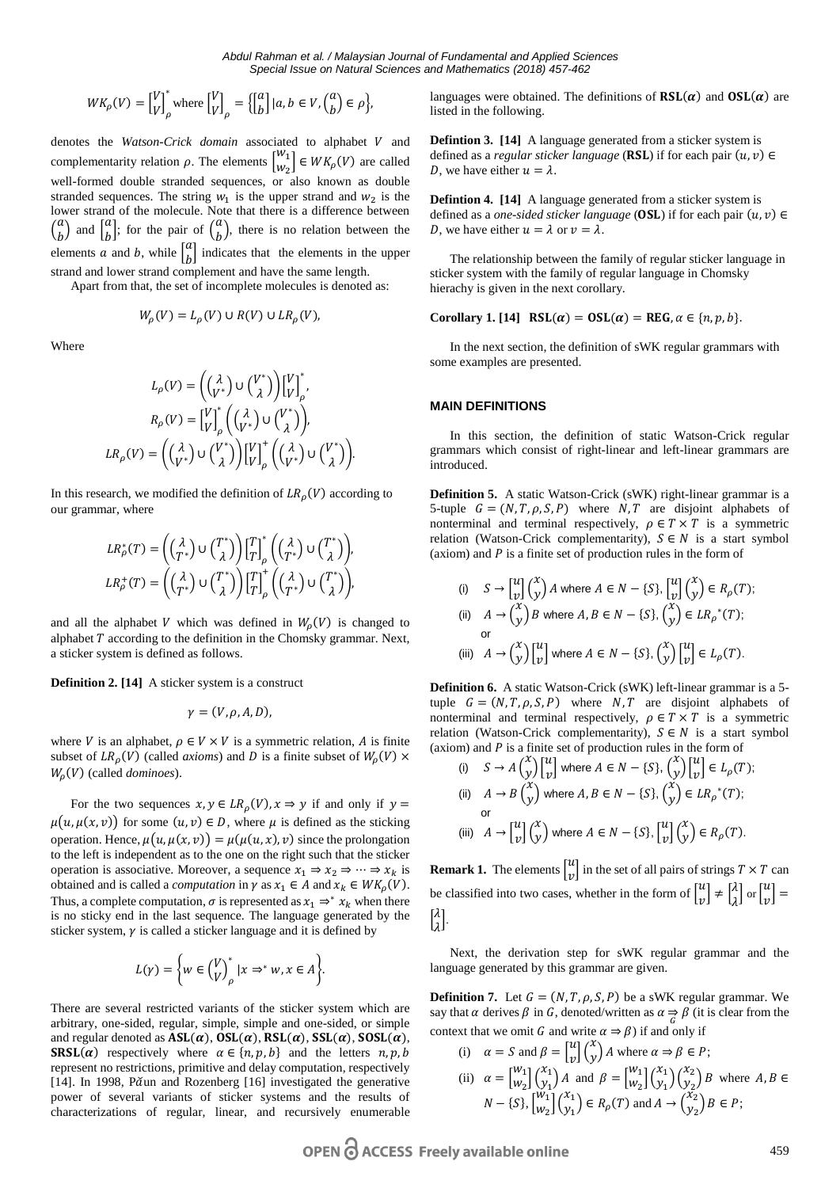$$
WK_{\rho}(V) = \begin{bmatrix} V \\ V \end{bmatrix}_{\rho}^* \text{where } \begin{bmatrix} V \\ V \end{bmatrix}_{\rho} = \left\{ \begin{bmatrix} a \\ b \end{bmatrix} | a, b \in V, \begin{pmatrix} a \\ b \end{pmatrix} \in \rho \right\},
$$

denotes the *Watson-Crick domain* associated to alphabet V and complementarity relation  $\rho$ . The elements  $\begin{bmatrix} w_1 \\ w_2 \end{bmatrix}$  $\begin{bmatrix} U_1 \\ W_2 \end{bmatrix} \in WK_\rho(V)$  are called well-formed double stranded sequences, or also known as double stranded sequences. The string  $w_1$  is the upper strand and  $w_2$  is the lower strand of the molecule. Note that there is a difference between  $\binom{a}{b}$  and  $\binom{a}{b}$ ; for the pair of  $\binom{a}{b}$ , there is no relation between the elements *a* and *b*, while  $\begin{bmatrix} a \\ b \end{bmatrix}$  indicates that the elements in the upper strand and lower strand complement and have the same length.

Apart from that, the set of incomplete molecules is denoted as:

$$
W_{\rho}(V) = L_{\rho}(V) \cup R(V) \cup LR_{\rho}(V),
$$

Where

$$
L_{\rho}(V) = \left( \begin{pmatrix} \lambda \\ V^* \end{pmatrix} \cup \begin{pmatrix} V^* \\ \lambda \end{pmatrix} \right) \begin{bmatrix} V \\ V \end{bmatrix}_{\rho}',
$$

$$
R_{\rho}(V) = \begin{bmatrix} V \\ V \end{bmatrix}_{\rho}^* \left( \begin{pmatrix} \lambda \\ V^* \end{pmatrix} \cup \begin{pmatrix} V^* \\ \lambda \end{pmatrix} \right),
$$

$$
LR_{\rho}(V) = \left( \begin{pmatrix} \lambda \\ V^* \end{pmatrix} \cup \begin{pmatrix} V^* \\ \lambda \end{pmatrix} \right) \begin{bmatrix} V \\ V \end{bmatrix}_{\rho}^* \left( \begin{pmatrix} \lambda \\ V^* \end{pmatrix} \cup \begin{pmatrix} V^* \\ \lambda \end{pmatrix} \right).
$$

In this research, we modified the definition of  $LR$ <sub> $\Omega$ </sub> $(V)$  according to our grammar, where

$$
LR_{\rho}^{*}(T) = \left( \begin{pmatrix} \lambda \\ T^{*} \end{pmatrix} \cup \begin{pmatrix} T \\ \lambda \end{pmatrix} \right) \begin{bmatrix} T \\ T \end{bmatrix}_{\rho}^{*} \left( \begin{pmatrix} \lambda \\ T^{*} \end{pmatrix} \cup \begin{pmatrix} T^{*} \\ \lambda \end{pmatrix} \right),
$$
  

$$
LR_{\rho}^{+}(T) = \left( \begin{pmatrix} \lambda \\ T^{*} \end{pmatrix} \cup \begin{pmatrix} T^{*} \\ \lambda \end{pmatrix} \right) \begin{bmatrix} T \\ T \end{bmatrix}_{\rho}^{*} \left( \begin{pmatrix} \lambda \\ T^{*} \end{pmatrix} \cup \begin{pmatrix} T^{*} \\ \lambda \end{pmatrix} \right).
$$

and all the alphabet V which was defined in  $W_p(V)$  is changed to alphabet  $T$  according to the definition in the Chomsky grammar. Next, a sticker system is defined as follows.

**Definition 2. [14]** A sticker system is a construct

$$
\gamma=(V,\rho,A,D),
$$

where *V* is an alphabet,  $\rho \in V \times V$  is a symmetric relation, *A* is finite subset of  $LR_{\rho}(V)$  (called *axioms*) and D is a finite subset of  $W_{\rho}(V) \times$  $W_0(V)$  (called *dominoes*).

For the two sequences  $x, y \in LR_\rho(V)$ ,  $x \Rightarrow y$  if and only if  $y =$  $\mu(u, \mu(x, v))$  for some  $(u, v) \in D$ , where  $\mu$  is defined as the sticking operation. Hence,  $\mu(u, \mu(x, v)) = \mu(\mu(u, x), v)$  since the prolongation to the left is independent as to the one on the right such that the sticker operation is associative. Moreover, a sequence  $x_1 \Rightarrow x_2 \Rightarrow \cdots \Rightarrow x_k$  is obtained and is called a *computation* in  $\gamma$  as  $x_1 \in A$  and  $x_k \in WK_p(V)$ . Thus, a complete computation,  $\sigma$  is represented as  $x_1 \Rightarrow^* x_k$  when there is no sticky end in the last sequence. The language generated by the sticker system,  $\gamma$  is called a sticker language and it is defined by

$$
L(\gamma) = \bigg\{ w \in {V \choose V}_\rho^* \mid x \Rightarrow^* w, x \in A \bigg\}.
$$

There are several restricted variants of the sticker system which are arbitrary, one-sided, regular, simple, simple and one-sided, or simple and regular denoted as  $ASL(\alpha)$ ,  $OSL(\alpha)$ ,  $RSL(\alpha)$ ,  $SSL(\alpha)$ ,  $SOSL(\alpha)$ , **SRSL(a)** respectively where  $\alpha \in \{n, p, b\}$  and the letters  $n, p, b$ represent no restrictions, primitive and delay computation, respectively [14]. In 1998, Pǎun and Rozenberg [16] investigated the generative power of several variants of sticker systems and the results of characterizations of regular, linear, and recursively enumerable languages were obtained. The definitions of  $\text{RSL}(\alpha)$  and  $\text{OSL}(\alpha)$  are listed in the following.

**Defintion 3. [14]** A language generated from a sticker system is defined as a *regular sticker language* (**RSL**) if for each pair  $(u, v) \in$ D, we have either  $u = \lambda$ .

**Defintion 4. [14]** A language generated from a sticker system is defined as a *one-sided sticker language* (**OSL**) if for each pair  $(u, v) \in$ D, we have either  $u = \lambda$  or  $v = \lambda$ .

The relationship between the family of regular sticker language in sticker system with the family of regular language in Chomsky hierachy is given in the next corollary.

#### **Corollary 1.** [14] **RSL**( $\alpha$ ) = **OSL**( $\alpha$ ) = **REG**,  $\alpha \in \{n, p, b\}$ .

In the next section, the definition of sWK regular grammars with some examples are presented.

#### **MAIN DEFINITIONS**

In this section, the definition of static Watson-Crick regular grammars which consist of right-linear and left-linear grammars are introduced.

**Definition 5.** A static Watson-Crick (sWK) right-linear grammar is a 5-tuple  $G = (N, T, \rho, S, P)$  where N, T are disjoint alphabets of nonterminal and terminal respectively,  $\rho \in T \times T$  is a symmetric relation (Watson-Crick complementarity),  $S \in N$  is a start symbol (axiom) and  $P$  is a finite set of production rules in the form of

(i) 
$$
S \to \begin{bmatrix} u \\ v \end{bmatrix} \begin{pmatrix} x \\ y \end{pmatrix} A
$$
 where  $A \in N - \{S\}, \begin{bmatrix} u \\ v \end{bmatrix} \begin{pmatrix} x \\ y \end{pmatrix} \in R_\rho(T);$   
\n(ii)  $A \to \begin{pmatrix} x \\ y \end{pmatrix} B$  where  $A, B \in N - \{S\}, \begin{pmatrix} x \\ y \end{pmatrix} \in LR_\rho^*(T);$   
\nor  
\n(iii)  $A \to \begin{pmatrix} x \\ y \end{pmatrix} \begin{bmatrix} u \\ v \end{bmatrix}$  where  $A \in N - \{S\}, \begin{pmatrix} x \\ y \end{pmatrix} \begin{bmatrix} u \\ v \end{bmatrix} \in L_\rho(T).$ 

**Definition 6.** A static Watson-Crick (sWK) left-linear grammar is a 5 tuple  $G = (N, T, \rho, S, P)$  where N, T are disjoint alphabets of nonterminal and terminal respectively,  $\rho \in T \times T$  is a symmetric relation (Watson-Crick complementarity),  $S \in N$  is a start symbol (axiom) and *P* is a finite set of production rules in the form of

(i) 
$$
S \rightarrow A \begin{pmatrix} x \\ y \end{pmatrix} \begin{bmatrix} u \\ v \end{bmatrix}
$$
 where  $A \in N - \{S\}, \begin{pmatrix} x \\ y \end{pmatrix} \begin{bmatrix} u \\ v \end{bmatrix} \in L_{\rho}(T);$   
\n(ii)  $A \rightarrow B \begin{pmatrix} x \\ y \end{pmatrix}$  where  $A, B \in N - \{S\}, \begin{pmatrix} x \\ y \end{pmatrix} \in LR_{\rho}^*(T);$   
\nor  
\n(iii)  $A \rightarrow \begin{bmatrix} u \\ v \end{bmatrix} \begin{pmatrix} x \\ y \end{pmatrix}$  where  $A \in N - \{S\}, \begin{bmatrix} u \\ v \end{bmatrix} \begin{pmatrix} x \\ y \end{pmatrix} \in R_{\rho}(T).$ 

**Remark 1.** The elements  $\begin{bmatrix} u \\ v \end{bmatrix}$  in the set of all pairs of strings  $T \times T$  can be classified into two cases, whether in the form of  $\begin{bmatrix} u \\ v \end{bmatrix} \neq \begin{bmatrix} \lambda \\ \lambda \end{bmatrix}$  $\begin{bmatrix} \lambda \\ \lambda \end{bmatrix}$  or  $\begin{bmatrix} u \\ v \end{bmatrix}$  =  $\int_{0}^{2}$  $\int_{\lambda}^{\lambda}$ .

Next, the derivation step for sWK regular grammar and the language generated by this grammar are given.

**Definition 7.** Let  $G = (N, T, \rho, S, P)$  be a sWK regular grammar. We say that  $\alpha$  derives  $\beta$  in G, denoted/written as  $\alpha \underset{G}{\Rightarrow} \beta$  (it is clear from the context that we omit G and write  $\alpha \Rightarrow \beta$  if and only if

(i) 
$$
\alpha = S
$$
 and  $\beta = \begin{bmatrix} u \\ v \end{bmatrix} \begin{pmatrix} x \\ y \end{pmatrix} A$  where  $\alpha \Rightarrow \beta \in P$ ;  
\n(ii)  $\alpha = \begin{bmatrix} w_1 \\ w_2 \end{bmatrix} \begin{pmatrix} x_1 \\ y_1 \end{pmatrix} A$  and  $\beta = \begin{bmatrix} w_1 \\ w_2 \end{bmatrix} \begin{pmatrix} x_1 \\ y_1 \end{pmatrix} \begin{pmatrix} x_2 \\ y_2 \end{pmatrix} B$  where  $A, B \in N - \{S\}, \begin{bmatrix} w_1 \\ w_2 \end{bmatrix} \begin{pmatrix} x_1 \\ y_1 \end{pmatrix} \in R_\rho(T)$  and  $A \rightarrow \begin{pmatrix} x_2 \\ y_2 \end{pmatrix} B \in P$ ;

OPEN C ACCESS Freely available online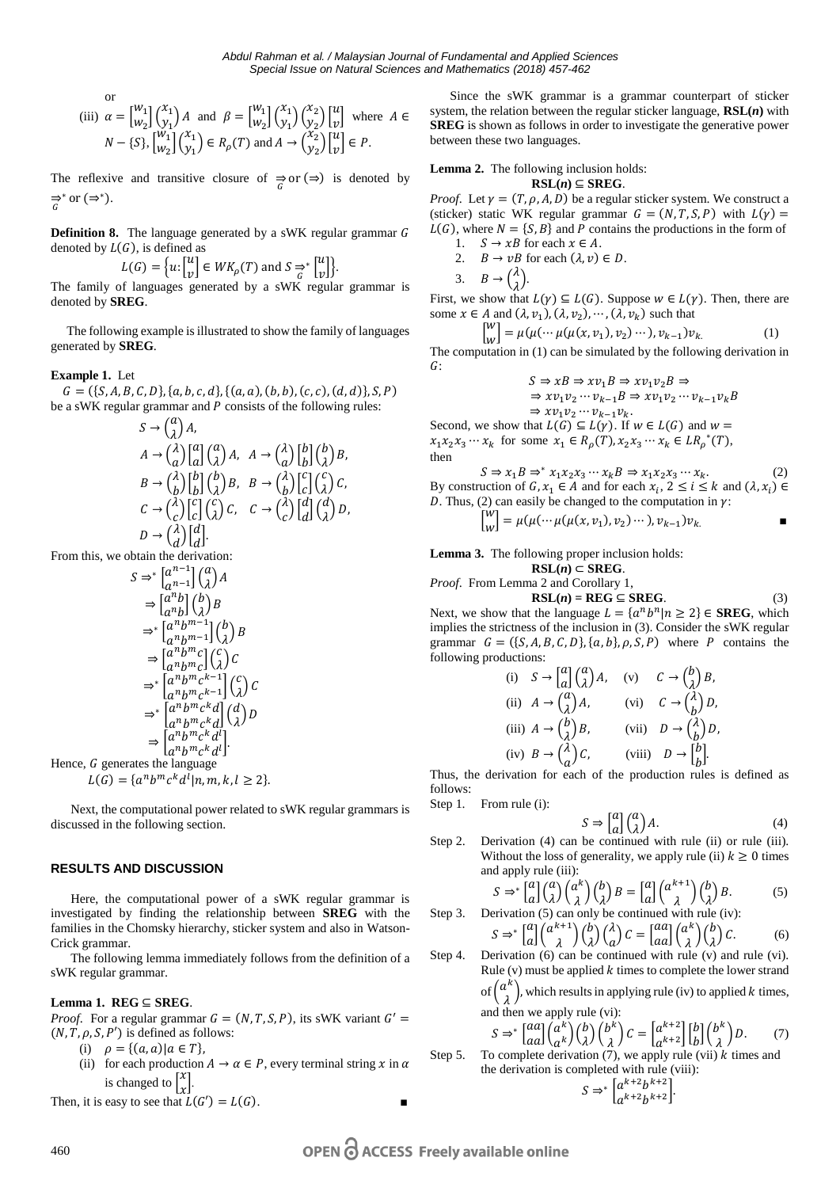$$
\begin{aligned}\n\text{or} \\
\text{(iii)} \ \ \alpha &= \begin{bmatrix} w_1 \\ w_2 \end{bmatrix} \begin{pmatrix} x_1 \\ y_1 \end{pmatrix} A \ \ \text{and} \ \ \beta = \begin{bmatrix} w_1 \\ w_2 \end{bmatrix} \begin{pmatrix} x_1 \\ y_1 \end{pmatrix} \begin{pmatrix} x_2 \\ y_2 \end{pmatrix} \begin{bmatrix} u \\ v \end{bmatrix} \ \text{where} \ \ A \in N - \{S\}, \begin{bmatrix} w_1 \\ w_2 \end{bmatrix} \begin{pmatrix} x_1 \\ y_1 \end{pmatrix} \in R_\rho(T) \ \text{and} \ A \to \begin{pmatrix} x_2 \\ y_2 \end{pmatrix} \begin{bmatrix} u \\ v \end{bmatrix} \in P.\n\end{aligned}
$$

The reflexive and transitive closure of  $\Rightarrow_{G}$  or  $(\Rightarrow)$  is denoted by  $\Rightarrow$ <sup>\*</sup> or  $(\Rightarrow^*)$ .

**Definition 8.** The language generated by a sWK regular grammar G denoted by  $L(G)$ , is defined as

$$
L(G) = \{u: \begin{bmatrix} u \\ v \end{bmatrix} \in WK_\rho(T) \text{ and } S \rightleftharpoons^* \begin{bmatrix} u \\ v \end{bmatrix} \}.
$$

The family of languages generated by a sWK regular grammar is denoted by **SREG**.

 The following example is illustrated to show the family of languages generated by **SREG**.

## **Example 1.** Let

 $G = ({S, A, B, C, D}, {a, b, c, d}, {(a, a), (b, b), (c, c), (d, d)}, S, P)$ be a sWK regular grammar and  $P$  consists of the following rules:

$$
S \rightarrow \begin{pmatrix} a \\ \lambda \end{pmatrix} A,
$$
  
\n
$$
A \rightarrow \begin{pmatrix} \lambda \\ a \end{pmatrix} \begin{bmatrix} a \\ a \end{bmatrix} \begin{pmatrix} a \\ \lambda \end{pmatrix} A, \quad A \rightarrow \begin{pmatrix} \lambda \\ a \end{pmatrix} \begin{bmatrix} b \\ b \end{bmatrix} \begin{pmatrix} b \\ \lambda \end{pmatrix} B,
$$
  
\n
$$
B \rightarrow \begin{pmatrix} \lambda \\ b \end{pmatrix} \begin{bmatrix} b \\ b \end{bmatrix} \begin{pmatrix} b \\ \lambda \end{pmatrix} B, \quad B \rightarrow \begin{pmatrix} \lambda \\ b \end{pmatrix} \begin{bmatrix} c \\ c \end{pmatrix} \begin{pmatrix} c \\ \lambda \end{pmatrix} C,
$$
  
\n
$$
C \rightarrow \begin{pmatrix} \lambda \\ c \end{pmatrix} \begin{bmatrix} c \\ c \end{bmatrix} \begin{pmatrix} c \\ \lambda \end{pmatrix} C, \quad C \rightarrow \begin{pmatrix} \lambda \\ c \end{pmatrix} \begin{bmatrix} d \\ d \end{bmatrix} \begin{pmatrix} d \\ \lambda \end{pmatrix} D,
$$
  
\n
$$
D \rightarrow \begin{pmatrix} \lambda \\ d \end{pmatrix} \begin{bmatrix} d \\ d \end{bmatrix}.
$$

From this, we obtain the derivation:

$$
S \Rightarrow^* \begin{bmatrix} a^{n-1} \\ a^{n-1} \end{bmatrix} \begin{bmatrix} a \\ \lambda \end{bmatrix} A
$$
  
\n
$$
\Rightarrow \begin{bmatrix} a^n b \\ a^n b \end{bmatrix} \begin{bmatrix} b \\ \lambda \end{bmatrix} B
$$
  
\n
$$
\Rightarrow^* \begin{bmatrix} a^n b^{m-1} \\ a^n b^{m-1} \end{bmatrix} \begin{bmatrix} b \\ \lambda \end{bmatrix} B
$$
  
\n
$$
\Rightarrow \begin{bmatrix} a^n b^{m} c \\ a^n b^{m} c^{k-1} \end{bmatrix} \begin{bmatrix} c \\ \lambda \end{bmatrix} C
$$
  
\n
$$
\Rightarrow^* \begin{bmatrix} a^n b^{m} c^{k-1} \\ a^n b^{m} c^{k} d \end{bmatrix} \begin{bmatrix} d \\ \lambda \end{bmatrix} D
$$
  
\n
$$
\Rightarrow \begin{bmatrix} a^n b^{m} c^{k} d^{l} \\ a^n b^{m} c^{k} d^{l} \end{bmatrix}.
$$

Hence, *G* generates the language  

$$
L(G) = \{a^n b^m c^k d^l | n, m, k, l \ge 2\}.
$$

Next, the computational power related to sWK regular grammars is discussed in the following section.

## **RESULTS AND DISCUSSION**

Here, the computational power of a sWK regular grammar is investigated by finding the relationship between **SREG** with the families in the Chomsky hierarchy, sticker system and also in Watson-Crick grammar.

The following lemma immediately follows from the definition of a sWK regular grammar.

## **Lemma 1. REG** ⊆ **SREG**.

*Proof.* For a regular grammar  $G = (N, T, S, P)$ , its sWK variant  $G' =$  $(N, T, \rho, S, P')$  is defined as follows:

- (i)  $\rho = \{(a, a) | a \in T\},\$
- (ii) for each production  $A \to \alpha \in P$ , every terminal string x in  $\alpha$ is changed to  $\begin{bmatrix} x \\ x \end{bmatrix}$ .

Then, it is easy to see that  $L(G') = L(G)$ .

Since the sWK grammar is a grammar counterpart of sticker system, the relation between the regular sticker language, **RSL(***n***)** with **SREG** is shown as follows in order to investigate the generative power between these two languages.

**Lemma 2.** The following inclusion holds:

$$
RSL(n) \subseteq SREG.
$$

*Proof.* Let  $\gamma = (T, \rho, A, D)$  be a regular sticker system. We construct a (sticker) static WK regular grammar  $G = (N, T, S, P)$  with  $L(\gamma) =$  $L(G)$ , where  $N = \{S, B\}$  and P contains the productions in the form of  $S \to rR$  for each  $r \in A$ 

1. 
$$
3 \rightarrow xb
$$
 for each  $x \in A$ .  
2.  $B \rightarrow vB$  for each  $(\lambda, v) \in D$ .

3. 
$$
B \rightarrow \begin{pmatrix} \lambda \\ \lambda \end{pmatrix}
$$
.

First, we show that  $L(\gamma) \subseteq L(G)$ . Suppose  $w \in L(\gamma)$ . Then, there are some  $x \in A$  and  $(\lambda, v_1), (\lambda, v_2), \dots, (\lambda, v_k)$  such that

$$
\begin{bmatrix} w \\ w \end{bmatrix} = \mu(\mu(\cdots \mu(\mu(x, v_1), v_2) \cdots), v_{k-1}) v_k. \tag{1}
$$

The computation in (1) can be simulated by the following derivation in  $G:$ 

$$
S \Rightarrow xB \Rightarrow xv_1B \Rightarrow xv_1v_2B \Rightarrow
$$
  
\n
$$
\Rightarrow xv_1v_2 \cdots v_{k-1}B \Rightarrow xv_1v_2 \cdots v_{k-1}v_kB
$$
  
\n
$$
\Rightarrow xv_1v_2 \cdots v_{k-1}v_k.
$$

Second, we show that  $L(G) \subseteq L(\gamma)$ . If  $w \in L(G)$  and  $w =$  $x_1 x_2 x_3 \cdots x_k$  for some  $x_1 \in R_\rho(T)$ ,  $x_2 x_3 \cdots x_k \in LR_\rho^*(T)$ , then

 $S \Rightarrow x_1 B \Rightarrow^* x_1 x_2 x_3 \cdots x_k B \Rightarrow x_1 x_2 x_3 \cdots x_k.$  (2) By construction of  $G, x_1 \in A$  and for each  $x_i, 2 \le i \le k$  and  $(\lambda, x_i) \in$ *D*. Thus, (2) can easily be changed to the computation in  $\gamma$ :

$$
\begin{bmatrix} w \\ w \end{bmatrix} = \mu(\mu(\cdots \mu(\mu(x, v_1), v_2) \cdots), v_{k-1}) v_k.
$$

**Lemma 3.** The following proper inclusion holds:

 $RSL(n)$  ⊂ **SREG**. *Proof.* Fr

From Lemma 2 and Corollary 1, 
$$
PRG = RPR
$$

 $RSL(n) = REG \subseteq SREG$ . (3) Next, we show that the language  $L = \{a^n b^n | n \ge 2\} \in \text{SREG}$ , which implies the strictness of the inclusion in (3). Consider the sWK regular grammar  $G = (\{S, A, B, C, D\}, \{a, b\}, \rho, S, P)$  where P contains the following productions:

(i) 
$$
S \rightarrow \begin{bmatrix} a \\ a \end{bmatrix} \begin{pmatrix} a \\ \lambda \end{pmatrix} A
$$
, (v)  $C \rightarrow \begin{pmatrix} b \\ \lambda \end{pmatrix} B$ ,  
\n(ii)  $A \rightarrow \begin{pmatrix} a \\ \lambda \end{pmatrix} A$ , (vi)  $C \rightarrow \begin{pmatrix} \lambda \\ b \end{pmatrix} D$ ,  
\n(iii)  $A \rightarrow \begin{pmatrix} b \\ \lambda \end{pmatrix} B$ , (vii)  $D \rightarrow \begin{pmatrix} \lambda \\ b \end{pmatrix} D$ ,  
\n(iv)  $B \rightarrow \begin{pmatrix} \lambda \\ a \end{pmatrix} C$ , (viii)  $D \rightarrow \begin{bmatrix} b \\ b \end{bmatrix}$ .

Thus, the derivation for each of the production rules is defined as follows:

Step 1. From rule (i):

$$
S \Rightarrow \begin{bmatrix} a \\ a \end{bmatrix} \begin{pmatrix} a \\ \lambda \end{pmatrix} A. \tag{4}
$$

Step 2. Derivation (4) can be continued with rule (ii) or rule (iii). Without the loss of generality, we apply rule (ii)  $k \geq 0$  times and apply rule (iii):

$$
S \Rightarrow^* \begin{bmatrix} a \\ a \end{bmatrix} \begin{pmatrix} a \\ \lambda \end{pmatrix} \begin{pmatrix} a^k \\ \lambda \end{pmatrix} \begin{pmatrix} b \\ \lambda \end{pmatrix} B = \begin{bmatrix} a \\ a \end{bmatrix} \begin{pmatrix} a^{k+1} \\ \lambda \end{pmatrix} \begin{pmatrix} b \\ \lambda \end{pmatrix} B.
$$
 (5)  
Step 3. Derivation (5) can only be continued with rule (iv):

$$
S \Rightarrow^* \left[ \begin{matrix} a \\ a \end{matrix} \right] \left( \begin{matrix} a^{k+1} \\ \lambda \end{matrix} \right) \left( \begin{matrix} b \\ \lambda \end{matrix} \right) \left( \begin{matrix} \lambda \\ a \end{matrix} \right) C = \left[ \begin{matrix} aa \\ aa \end{matrix} \right] \left( \begin{matrix} a^k \\ \lambda \end{matrix} \right) \left( \begin{matrix} b \\ \lambda \end{matrix} \right) C. \tag{6}
$$

Step 4. Derivation  $(6)$  can be continued with rule  $(v)$  and rule  $(vi)$ . Rule (v) must be applied  $k$  times to complete the lower strand of  $\binom{a^k}{\lambda}$ , which results in applying rule (iv) to applied *k* times,

and then we apply rule (vi):  
\n
$$
S \Rightarrow \begin{bmatrix} aa \\ ca \end{bmatrix} \begin{pmatrix} a^k \\ b \end{pmatrix} \begin{pmatrix} b \\ 2 \end{pmatrix} \begin{pmatrix} b^k \\ b \end{pmatrix} C = \begin{bmatrix} a^{k+2} \\ b^{k+2} \end{bmatrix} \begin{bmatrix} b \\ b \end{bmatrix} \begin{pmatrix} b^k \\ 2 \end{pmatrix} D.
$$
 (7)

$$
S \Rightarrow^* \left[ \begin{matrix} aa \\ aa \end{matrix} \right] \begin{pmatrix} a^k \\ a^k \end{pmatrix} \begin{pmatrix} b \\ \lambda \end{pmatrix} \begin{pmatrix} b^k \\ \lambda \end{pmatrix} C = \left[ \begin{matrix} a^{k+2} \\ a^{k+2} \end{matrix} \right] \begin{pmatrix} b \\ b \end{pmatrix} \begin{pmatrix} b^k \\ \lambda \end{pmatrix} D.
$$
 (7)  
To complete derivation (7), we apply rule (vii) *k* times and

Step 5. the derivation is completed with rule (viii):

$$
S \Rightarrow^* \left[ \begin{matrix} a^{k+2} b^{k+2} \\ a^{k+2} b^{k+2} \end{matrix} \right].
$$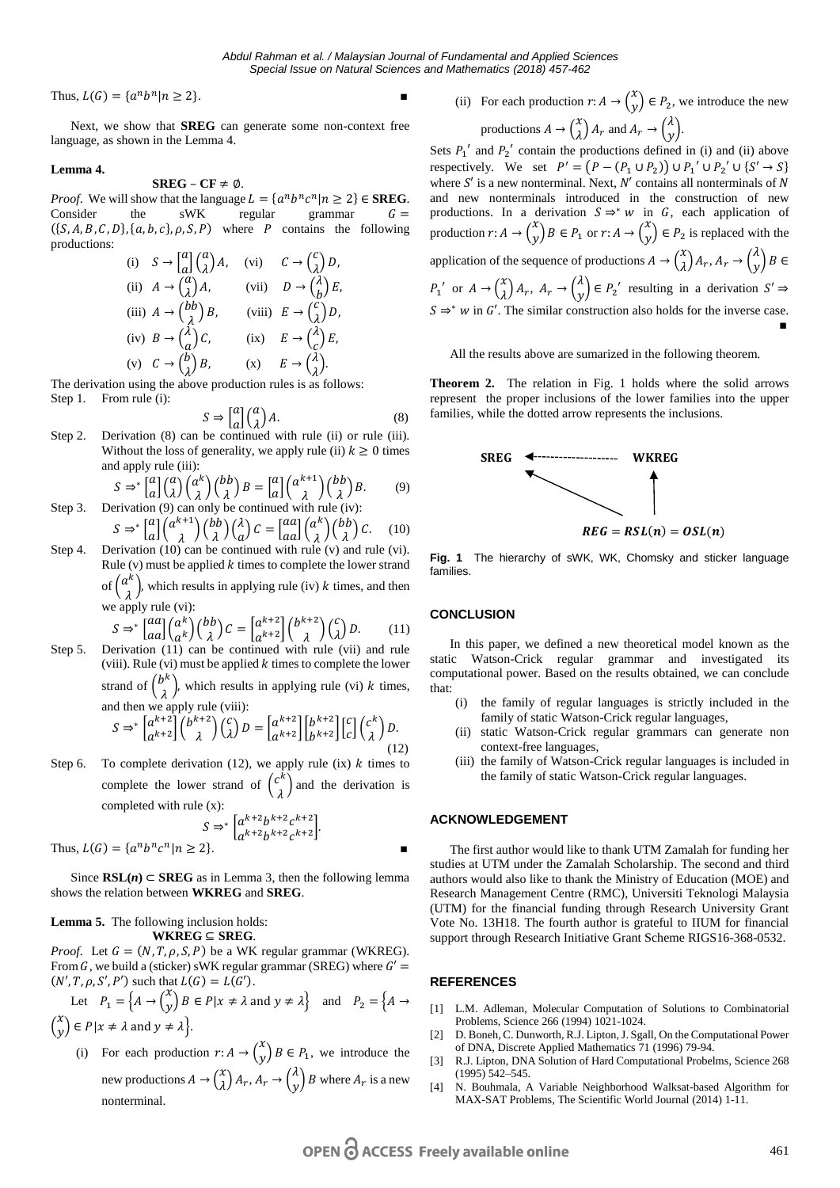*Abdul Rahman et al. / Malaysian Journal of Fundamental and Applied Sciences Special Issue on Natural Sciences and Mathematics (2018) 457-462*

Thus,  $L(G) = \{a^n b^n | n \ge 2\}.$ 

Next, we show that **SREG** can generate some non-context free language, as shown in the Lemma 4.

#### **Lemma 4.**

## **SREG** –  $CF \neq \emptyset$ .

*Proof.* We will show that the language  $L = \{a^n b^n c^n | n \ge 2\} \in \text{SREG}$ . Consider the sWK regular grammar  $G =$  $({S, A, B, C, D}, {a, b, c}, \rho, S, P)$  where P contains the following productions:

(i) 
$$
S \rightarrow \begin{bmatrix} a \\ a \end{bmatrix} \begin{pmatrix} a \\ \lambda \end{pmatrix} A
$$
, (vi)  $C \rightarrow \begin{pmatrix} c \\ \lambda \end{pmatrix} D$ ,  
\n(ii)  $A \rightarrow \begin{pmatrix} a \\ \lambda \end{pmatrix} A$ , (vii)  $D \rightarrow \begin{pmatrix} \lambda \\ b \end{pmatrix} E$ ,  
\n(iii)  $A \rightarrow \begin{pmatrix} b \\ b \end{pmatrix} B$ , (viii)  $E \rightarrow \begin{pmatrix} c \\ \lambda \end{pmatrix} D$ ,  
\n(iv)  $B \rightarrow \begin{pmatrix} \lambda \\ a \end{pmatrix} C$ , (ix)  $E \rightarrow \begin{pmatrix} \lambda \\ c \end{pmatrix} E$ ,  
\n(v)  $C \rightarrow \begin{pmatrix} b \\ \lambda \end{pmatrix} B$ , (x)  $E \rightarrow \begin{pmatrix} \lambda \\ \lambda \end{pmatrix}$ .

The derivation using the above production rules is as follows:

Step 1. From rule (i):

$$
S \Rightarrow \begin{bmatrix} a \\ a \end{bmatrix} \begin{pmatrix} a \\ \lambda \end{pmatrix} A. \tag{8}
$$

Step 2. Derivation (8) can be continued with rule (ii) or rule (iii). Without the loss of generality, we apply rule (ii)  $k \geq 0$  times and apply rule (iii):

$$
S \Rightarrow^* \begin{bmatrix} a \\ a \end{bmatrix} \begin{pmatrix} a \\ \lambda \end{pmatrix} \begin{pmatrix} a^k \\ \lambda \end{pmatrix} \begin{pmatrix} bb \\ \lambda \end{pmatrix} B = \begin{bmatrix} a \\ a \end{bmatrix} \begin{pmatrix} a^{k+1} \\ \lambda \end{pmatrix} \begin{pmatrix} bb \\ \lambda \end{pmatrix} B.
$$
 (9)

- Step 3. Derivation (9) can only be continued with rule (iv):  $S \Rightarrow^* \left[ \begin{matrix} a \\ a \end{matrix} \right] \left( \begin{matrix} a^{k+1} \\ \lambda \end{matrix} \right) \left( \begin{matrix} bb \\ \lambda \end{matrix} \right) \left( \begin{matrix} \lambda \\ a \end{matrix} \right)$  $\begin{pmatrix} \lambda \\ a \end{pmatrix} C = \begin{bmatrix} aa \\ aa \end{bmatrix} \begin{pmatrix} \alpha^k \\ \lambda \end{pmatrix} \begin{pmatrix} bb \\ \lambda \end{pmatrix} C.$  (10)
- Step 4. Derivation (10) can be continued with rule (v) and rule (vi). Rule  $(v)$  must be applied  $k$  times to complete the lower strand of  $\binom{a^k}{\lambda}$ , which results in applying rule (iv) k times, and then

we apply rule (vi):  
\n
$$
S \Rightarrow^* \begin{bmatrix} aa \\ aa \end{bmatrix} \begin{pmatrix} a^k \\ a^k \end{pmatrix} \begin{pmatrix} bb \\ \lambda \end{pmatrix} C = \begin{bmatrix} a^{k+2} \\ a^{k+2} \end{bmatrix} \begin{pmatrix} b^{k+2} \\ \lambda \end{pmatrix} \begin{pmatrix} c \\ \lambda \end{pmatrix} D. \tag{11}
$$

Step 5. Derivation (11) can be continued with rule (vii) and rule (viii). Rule (vi) must be applied  $k$  times to complete the lower strand of  $\binom{b^k}{\lambda}$ , which results in applying rule (vi) k times,

and then we apply rule (viii):  
\n
$$
S \Rightarrow^* \begin{bmatrix} a^{k+2} \\ a^{k+2} \end{bmatrix} {b^{k+2} \choose \lambda} {c \choose \lambda} D = \begin{bmatrix} a^{k+2} \\ a^{k+2} \end{bmatrix} \begin{bmatrix} b^{k+2} \\ b^{k+2} \end{bmatrix} {c \choose \lambda} {c \choose \lambda} D.
$$
\n(12)

Step 6. To complete derivation (12), we apply rule (ix)  $k$  times to complete the lower strand of  $\binom{c^k}{\lambda}$  and the derivation is completed with rule (x):

$$
pietea with rule (x):
$$

$$
S \Rightarrow^* \left[ \begin{matrix} a^{k+2} b^{k+2} c^{k+2} \\ a^{k+2} b^{k+2} c^{k+2} \end{matrix} \right].
$$

Thus,  $L(G) = \{a^n b^n c^n | n \ge 2\}.$ 

Since  $RSL(n)$  ⊂ SREG as in Lemma 3, then the following lemma shows the relation between **WKREG** and **SREG**.

**Lemma 5.** The following inclusion holds: **WKREG** ⊆ **SREG**.

*Proof.* Let  $G = (N, T, \rho, S, P)$  be a WK regular grammar (WKREG). From G, we build a (sticker) sWK regular grammar (SREG) where  $G' =$  $(N', T, \rho, S', P')$  such that  $L(G) = L(G')$ .

Let 
$$
P_1 = \{A \to {x \choose y} B \in P | x \neq \lambda \text{ and } y \neq \lambda\}
$$
 and  $P_2 = \{A \to {x \choose y} \in P | x \neq \lambda \text{ and } y \neq \lambda\}$ .

(i) For each production  $r: A \to {x \choose y} B \in P_1$ , we introduce the new productions  $A \to \binom{x}{\lambda} A_r, A_r \to \binom{\lambda}{y} B$  where  $A_r$  is a new nonterminal.

(ii) For each production 
$$
r: A \to \begin{pmatrix} x \\ y \end{pmatrix} \in P_2
$$
, we introduce the new  
productions  $A \to \begin{pmatrix} x \\ \lambda \end{pmatrix} A_r$  and  $A_r \to \begin{pmatrix} \lambda \\ y \end{pmatrix}$ .

Sets  $P_1'$  and  $P_2'$  contain the productions defined in (i) and (ii) above respectively. We set  $P' = (P - (P_1 \cup P_2)) \cup P_1' \cup P_2' \cup \{S' \rightarrow S\}$ where  $S'$  is a new nonterminal. Next,  $N'$  contains all nonterminals of N and new nonterminals introduced in the construction of new productions. In a derivation  $S \Rightarrow^* w$  in G, each application of production  $r: A \to \binom{x}{y} B \in P_1$  or  $r: A \to \binom{x}{y} \in P_2$  is replaced with the application of the sequence of productions  $A \to \binom{x}{\lambda} A_r, A_r \to \binom{\lambda}{y} B \in$  $P_1'$  or  $A \to \begin{pmatrix} x \\ \lambda \end{pmatrix} A_r$ ,  $A_r \to \begin{pmatrix} \lambda \\ y \end{pmatrix} \in P_2'$  resulting in a derivation  $S' \to \begin{pmatrix} \lambda & \lambda \\ \lambda & \lambda \end{pmatrix} A_r$  $S \Rightarrow^* w$  in G'. The similar construction also holds for the inverse case. ■

All the results above are sumarized in the following theorem.

**Theorem 2.** The relation in Fig. 1 holds where the solid arrows represent the proper inclusions of the lower families into the upper families, while the dotted arrow represents the inclusions.



**Fig. 1** The hierarchy of sWK, WK, Chomsky and sticker language families.

## **CONCLUSION**

In this paper, we defined a new theoretical model known as the static Watson-Crick regular grammar and investigated its computational power. Based on the results obtained, we can conclude that:

- (i) the family of regular languages is strictly included in the family of static Watson-Crick regular languages,
- (ii) static Watson-Crick regular grammars can generate non context-free languages,
- (iii) the family of Watson-Crick regular languages is included in the family of static Watson-Crick regular languages.

#### **ACKNOWLEDGEMENT**

The first author would like to thank UTM Zamalah for funding her studies at UTM under the Zamalah Scholarship. The second and third authors would also like to thank the Ministry of Education (MOE) and Research Management Centre (RMC), Universiti Teknologi Malaysia (UTM) for the financial funding through Research University Grant Vote No. 13H18. The fourth author is grateful to IIUM for financial support through Research Initiative Grant Scheme RIGS16-368-0532.

#### **REFERENCES**

- [1] L.M. Adleman, Molecular Computation of Solutions to Combinatorial Problems, Science 266 (1994) 1021-1024.
- [2] D. Boneh, C. Dunworth, R.J. Lipton, J. Sgall, On the Computational Power of DNA, Discrete Applied Mathematics 71 (1996) 79-94.
- [3] R.J. Lipton, DNA Solution of Hard Computational Probelms, Science 268 (1995) 542–545.
- [4] N. Bouhmala, A Variable Neighborhood Walksat-based Algorithm for MAX-SAT Problems, The Scientific World Journal (2014) 1-11.